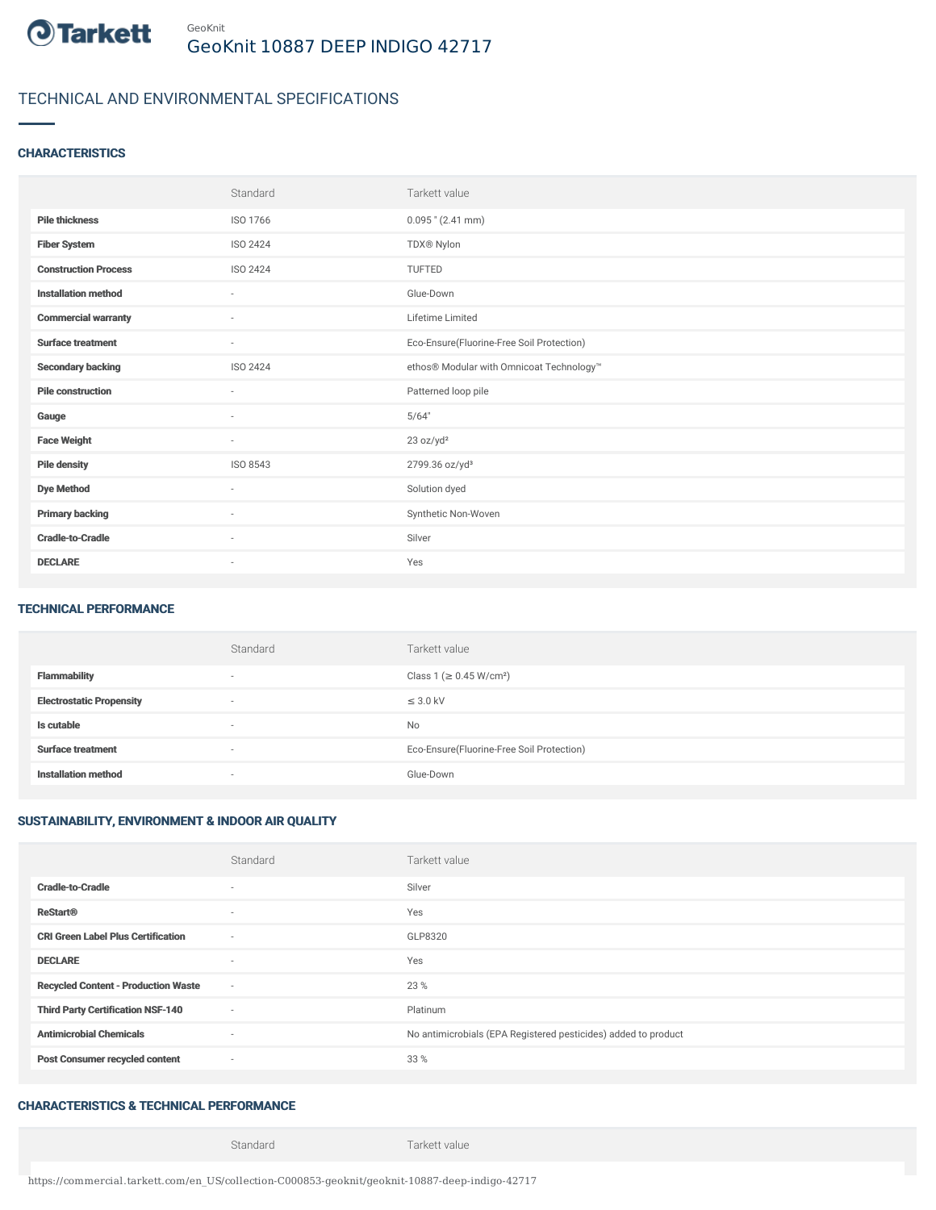

# TECHNICAL AND ENVIRONMENTAL SPECIFICATIONS

#### **CHARACTERISTICS**

|                             | Standard                 | Tarkett value                             |
|-----------------------------|--------------------------|-------------------------------------------|
| <b>Pile thickness</b>       | ISO 1766                 | $0.095$ " (2.41 mm)                       |
| <b>Fiber System</b>         | ISO 2424                 | TDX® Nylon                                |
| <b>Construction Process</b> | ISO 2424                 | TUFTED                                    |
| <b>Installation method</b>  | $\overline{\phantom{a}}$ | Glue-Down                                 |
| <b>Commercial warranty</b>  | $\sim$                   | Lifetime Limited                          |
| <b>Surface treatment</b>    | $\sim$                   | Eco-Ensure(Fluorine-Free Soil Protection) |
| <b>Secondary backing</b>    | ISO 2424                 | ethos® Modular with Omnicoat Technology™  |
| <b>Pile construction</b>    | $\sim$                   | Patterned loop pile                       |
| Gauge                       | $\sim$                   | 5/64"                                     |
| <b>Face Weight</b>          | $\sim$                   | 23 oz/yd <sup>2</sup>                     |
| <b>Pile density</b>         | ISO 8543                 | 2799.36 oz/yd <sup>3</sup>                |
| <b>Dye Method</b>           | $\sim$                   | Solution dyed                             |
| <b>Primary backing</b>      | ×.                       | Synthetic Non-Woven                       |
| <b>Cradle-to-Cradle</b>     | $\sim$                   | Silver                                    |
| <b>DECLARE</b>              | $\overline{\phantom{a}}$ | Yes                                       |

#### TECHNICAL PERFORMANCE

|                                 | Standard                 | Tarkett value                             |
|---------------------------------|--------------------------|-------------------------------------------|
| <b>Flammability</b>             | $\overline{\phantom{a}}$ | Class 1 (≥ 0.45 W/cm <sup>2</sup> )       |
| <b>Electrostatic Propensity</b> | ۰                        | $\leq$ 3.0 kV                             |
| Is cutable                      | $\overline{\phantom{a}}$ | No                                        |
| <b>Surface treatment</b>        | $\overline{\phantom{a}}$ | Eco-Ensure(Fluorine-Free Soil Protection) |
| <b>Installation method</b>      | $\overline{\phantom{a}}$ | Glue-Down                                 |

## SUSTAINABILITY, ENVIRONMENT & INDOOR AIR QUALITY

|                                            | Standard                 | Tarkett value                                                  |
|--------------------------------------------|--------------------------|----------------------------------------------------------------|
| <b>Cradle-to-Cradle</b>                    | ۰                        | Silver                                                         |
| <b>ReStart®</b>                            | $\sim$                   | Yes                                                            |
| <b>CRI Green Label Plus Certification</b>  | $\overline{\phantom{a}}$ | GLP8320                                                        |
| <b>DECLARE</b>                             | $\sim$                   | Yes                                                            |
| <b>Recycled Content - Production Waste</b> | $\sim$                   | 23 %                                                           |
| <b>Third Party Certification NSF-140</b>   | $\sim$                   | Platinum                                                       |
| <b>Antimicrobial Chemicals</b>             | $\sim$                   | No antimicrobials (EPA Registered pesticides) added to product |
| <b>Post Consumer recycled content</b>      | $\sim$                   | 33 %                                                           |

## CHARACTERISTICS & TECHNICAL PERFORMANCE

Standard Tarkett value